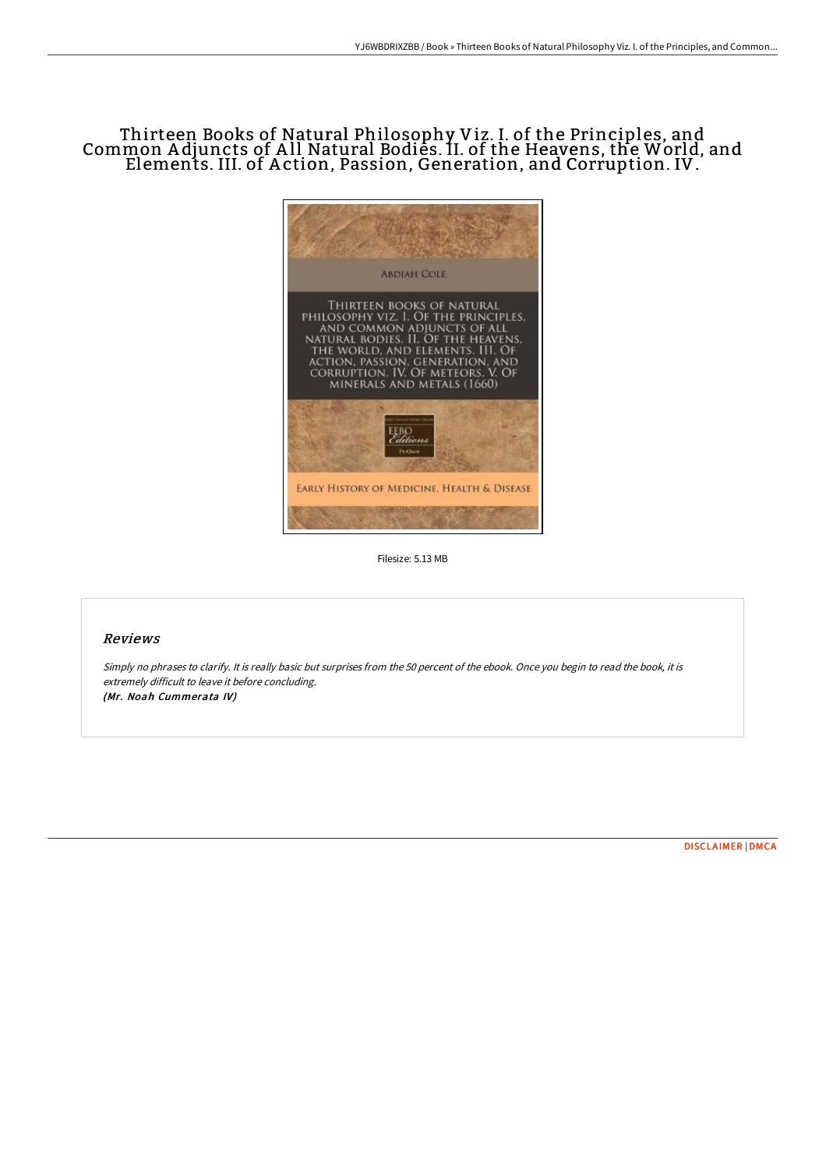## Thirteen Books of Natural Philosophy Viz. I. of the Principles, and Common A djuncts of A ll Natural Bodies. II. of the Heavens, the World, and Elements. III. of A ction, Passion, Generation, and Corruption. IV.



Filesize: 5.13 MB

## Reviews

Simply no phrases to clarify. It is really basic but surprises from the <sup>50</sup> percent of the ebook. Once you begin to read the book, it is extremely difficult to leave it before concluding. (Mr. Noah Cummerata IV)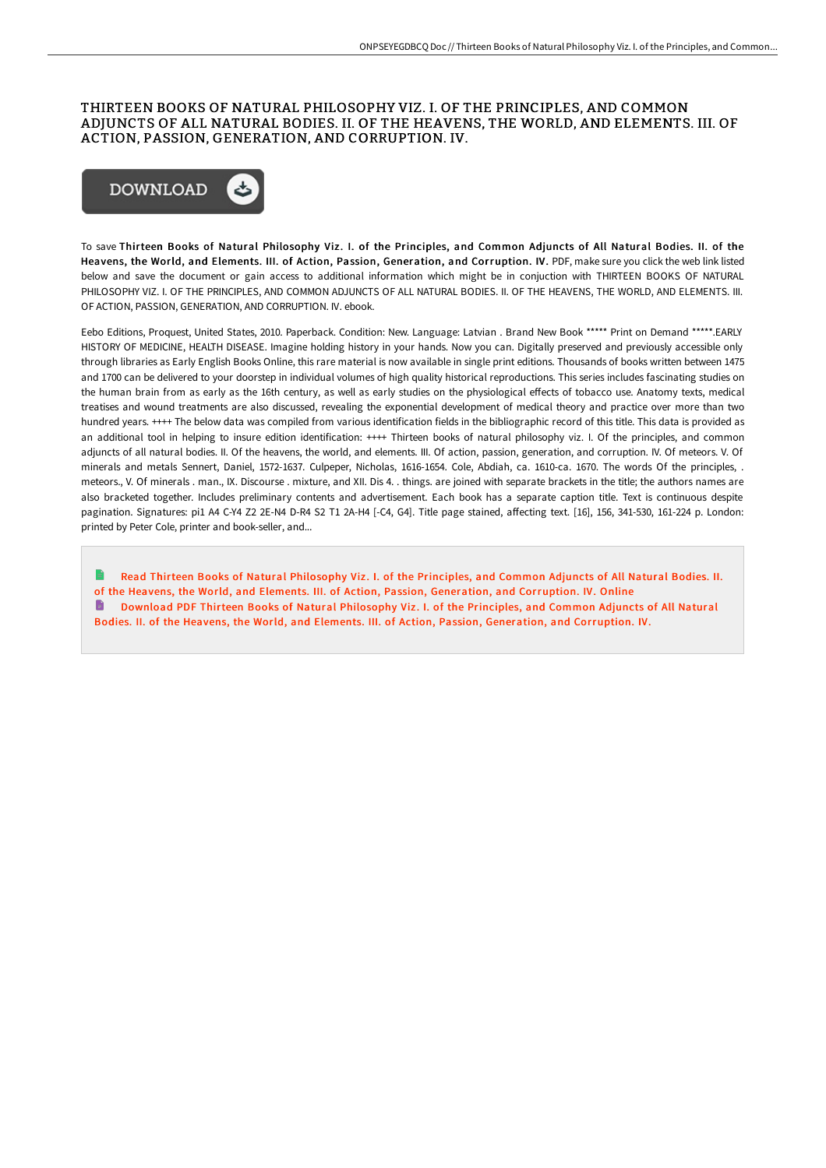## THIRTEEN BOOKS OF NATURAL PHILOSOPHY VIZ. I. OF THE PRINCIPLES, AND COMMON ADJUNCTS OF ALL NATURAL BODIES. II. OF THE HEAVENS, THE WORLD, AND ELEMENTS. III. OF ACTION, PASSION, GENERATION, AND CORRUPTION. IV.



To save Thirteen Books of Natural Philosophy Viz. I. of the Principles, and Common Adjuncts of All Natural Bodies. II. of the Heavens, the World, and Elements. III. of Action, Passion, Generation, and Corruption. IV. PDF, make sure you click the web link listed below and save the document or gain access to additional information which might be in conjuction with THIRTEEN BOOKS OF NATURAL PHILOSOPHY VIZ. I. OF THE PRINCIPLES, AND COMMON ADJUNCTS OF ALL NATURAL BODIES. II. OF THE HEAVENS, THE WORLD, AND ELEMENTS. III. OF ACTION, PASSION, GENERATION, AND CORRUPTION. IV. ebook.

Eebo Editions, Proquest, United States, 2010. Paperback. Condition: New. Language: Latvian . Brand New Book \*\*\*\*\* Print on Demand \*\*\*\*\*.EARLY HISTORY OF MEDICINE, HEALTH DISEASE. Imagine holding history in your hands. Now you can. Digitally preserved and previously accessible only through libraries as Early English Books Online, this rare material is now available in single print editions. Thousands of books written between 1475 and 1700 can be delivered to your doorstep in individual volumes of high quality historical reproductions. This series includes fascinating studies on the human brain from as early as the 16th century, as well as early studies on the physiological effects of tobacco use. Anatomy texts, medical treatises and wound treatments are also discussed, revealing the exponential development of medical theory and practice over more than two hundred years. ++++ The below data was compiled from various identification fields in the bibliographic record of this title. This data is provided as an additional tool in helping to insure edition identification: ++++ Thirteen books of natural philosophy viz. I. Of the principles, and common adjuncts of all natural bodies. II. Of the heavens, the world, and elements. III. Of action, passion, generation, and corruption. IV. Of meteors. V. Of minerals and metals Sennert, Daniel, 1572-1637. Culpeper, Nicholas, 1616-1654. Cole, Abdiah, ca. 1610-ca. 1670. The words Of the principles, . meteors., V. Of minerals . man., IX. Discourse . mixture, and XII. Dis 4. . things. are joined with separate brackets in the title; the authors names are also bracketed together. Includes preliminary contents and advertisement. Each book has a separate caption title. Text is continuous despite pagination. Signatures: pi1 A4 C-Y4 Z2 2E-N4 D-R4 S2 T1 2A-H4 [-C4, G4]. Title page stained, affecting text. [16], 156, 341-530, 161-224 p. London: printed by Peter Cole, printer and book-seller, and...

Read Thirteen Books of Natural Philosophy Viz . I. of the Principles, and Common Adjuncts of All Natural Bodies. II. of the Heavens, the World, and Elements. III. of Action, Passion, [Generation,](http://bookera.tech/thirteen-books-of-natural-philosophy-viz-i-of-th.html) and Corruption. IV. Online Download PDF Thirteen Books of Natural Philosophy Viz . I. of the Principles, and Common Adjuncts of All Natural Bodies. II. of the Heavens, the World, and Elements. III. of Action, Passion, [Generation,](http://bookera.tech/thirteen-books-of-natural-philosophy-viz-i-of-th.html) and Corruption. IV.